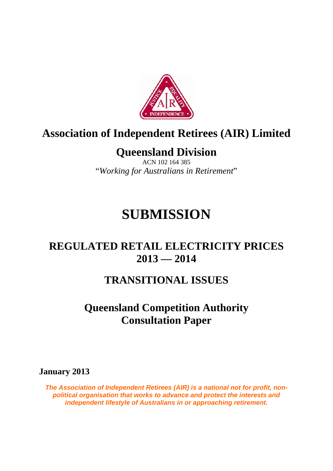

# **Association of Independent Retirees (AIR) Limited**

# **Queensland Division**

ACN 102 164 385 "*Working for Australians in Retirement*"

# **SUBMISSION**

# **REGULATED RETAIL ELECTRICITY PRICES 2013 — 2014**

## **TRANSITIONAL ISSUES**

# **Queensland Competition Authority Consultation Paper**

**January 2013** 

*The Association of Independent Retirees (AIR) is a national not for profit, nonpolitical organisation that works to advance and protect the interests and independent lifestyle of Australians in or approaching retirement.*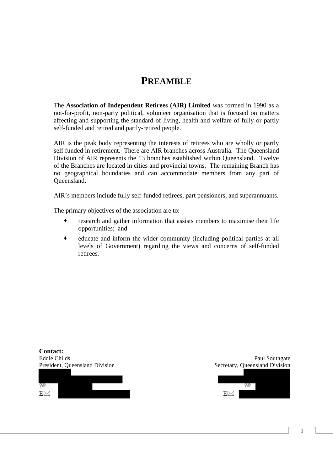### **PREAMBLE**

The **Association of Independent Retirees (AIR) Limited** was formed in 1990 as a not-for-profit, non-party political, volunteer organisation that is focused on matters affecting and supporting the standard of living, health and welfare of fully or partly self-funded and retired and partly-retired people.

AIR is the peak body representing the interests of retirees who are wholly or partly self funded in retirement. There are AIR branches across Australia. The Queensland Division of AIR represents the 13 branches established within Queensland. Twelve of the Branches are located in cities and provincial towns. The remaining Branch has no geographical boundaries and can accommodate members from any part of Queensland.

AIR's members include fully self-funded retirees, part pensioners, and superannuants.

The primary objectives of the association are to:

- research and gather information that assists members to maximise their life opportunities; and
- educate and inform the wider community (including political parties at all levels of Government) regarding the views and concerns of self-funded retirees.



**1**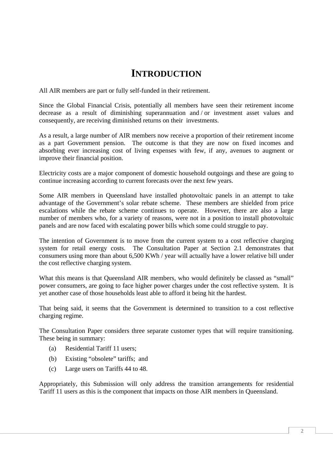### **INTRODUCTION**

All AIR members are part or fully self-funded in their retirement.

Since the Global Financial Crisis, potentially all members have seen their retirement income decrease as a result of diminishing superannuation and / or investment asset values and consequently, are receiving diminished returns on their investments.

As a result, a large number of AIR members now receive a proportion of their retirement income as a part Government pension. The outcome is that they are now on fixed incomes and absorbing ever increasing cost of living expenses with few, if any, avenues to augment or improve their financial position.

Electricity costs are a major component of domestic household outgoings and these are going to continue increasing according to current forecasts over the next few years.

Some AIR members in Queensland have installed photovoltaic panels in an attempt to take advantage of the Government's solar rebate scheme. These members are shielded from price escalations while the rebate scheme continues to operate. However, there are also a large number of members who, for a variety of reasons, were not in a position to install photovoltaic panels and are now faced with escalating power bills which some could struggle to pay.

The intention of Government is to move from the current system to a cost reflective charging system for retail energy costs. The Consultation Paper at Section 2.1 demonstrates that consumers using more than about 6,500 KWh / year will actually have a lower relative bill under the cost reflective charging system.

What this means is that Queensland AIR members, who would definitely be classed as "small" power consumers, are going to face higher power charges under the cost reflective system. It is yet another case of those households least able to afford it being hit the hardest.

That being said, it seems that the Government is determined to transition to a cost reflective charging regime.

The Consultation Paper considers three separate customer types that will require transitioning. These being in summary:

- (a) Residential Tariff 11 users;
- (b) Existing "obsolete" tariffs; and
- (c) Large users on Tariffs 44 to 48.

Appropriately, this Submission will only address the transition arrangements for residential Tariff 11 users as this is the component that impacts on those AIR members in Queensland.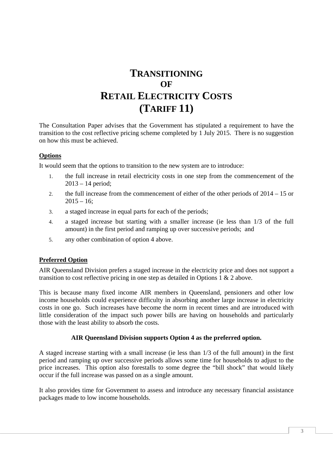### **TRANSITIONING OF RETAIL ELECTRICITY COSTS (TARIFF 11)**

The Consultation Paper advises that the Government has stipulated a requirement to have the transition to the cost reflective pricing scheme completed by 1 July 2015. There is no suggestion on how this must be achieved.

### **Options**

It would seem that the options to transition to the new system are to introduce:

- 1. the full increase in retail electricity costs in one step from the commencement of the 2013 – 14 period;
- 2. the full increase from the commencement of either of the other periods of 2014 15 or  $2015 - 16$
- 3. a staged increase in equal parts for each of the periods;
- 4. a staged increase but starting with a smaller increase (ie less than 1/3 of the full amount) in the first period and ramping up over successive periods; and
- 5. any other combination of option 4 above.

#### **Preferred Option**

AIR Queensland Division prefers a staged increase in the electricity price and does not support a transition to cost reflective pricing in one step as detailed in Options 1 & 2 above.

This is because many fixed income AIR members in Queensland, pensioners and other low income households could experience difficulty in absorbing another large increase in electricity costs in one go. Such increases have become the norm in recent times and are introduced with little consideration of the impact such power bills are having on households and particularly those with the least ability to absorb the costs.

#### **AIR Queensland Division supports Option 4 as the preferred option.**

A staged increase starting with a small increase (ie less than 1/3 of the full amount) in the first period and ramping up over successive periods allows some time for households to adjust to the price increases. This option also forestalls to some degree the "bill shock" that would likely occur if the full increase was passed on as a single amount.

It also provides time for Government to assess and introduce any necessary financial assistance packages made to low income households.